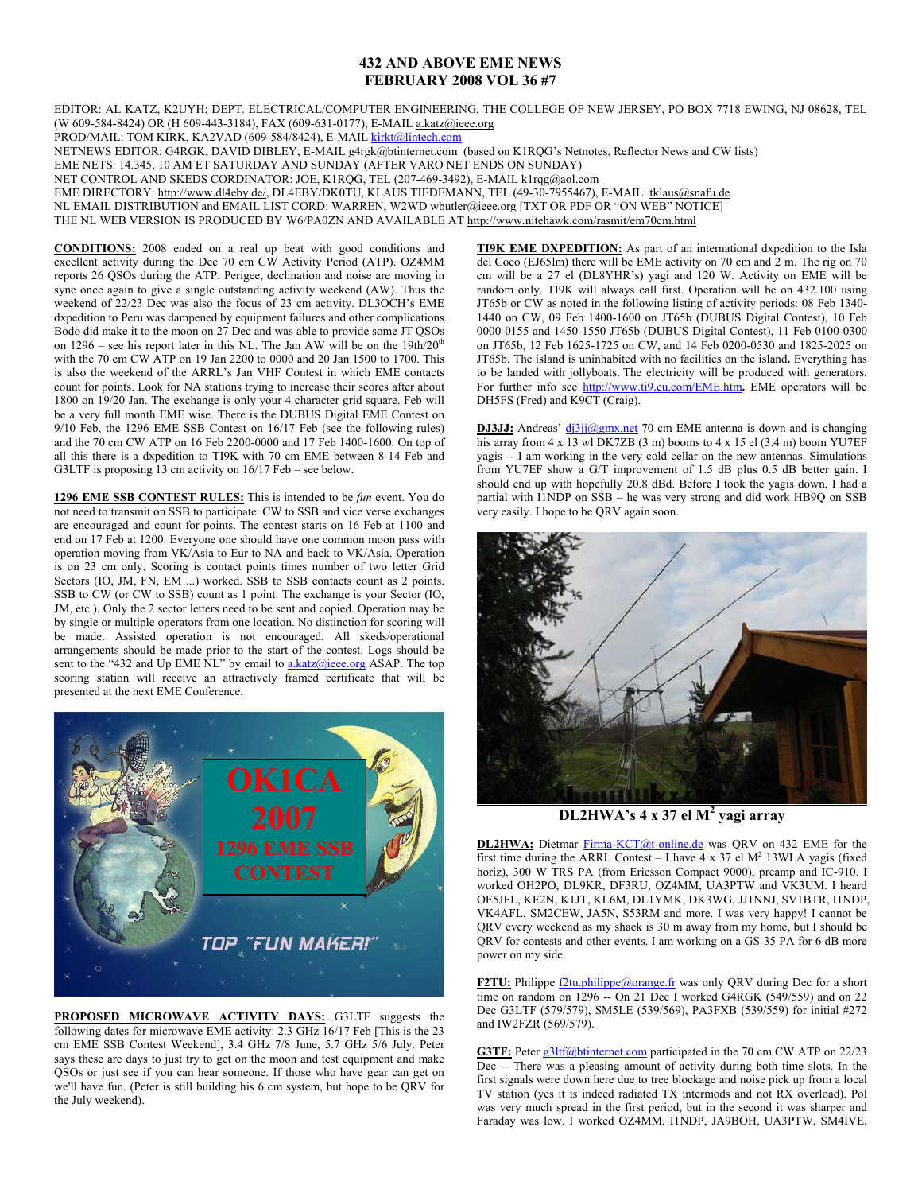## **432 AND ABOVE EME NEWS FEBRUARY 2008 VOL 36 #7**

EDITOR: AL KATZ, K2UYH; DEPT. ELECTRICAL/COMPUTER ENGINEERING, THE COLLEGE OF NEW JERSEY, PO BOX 7718 EWING, NJ 08628, TEL (W 609-584-8424) OR (H 609-443-3184), FAX (609-631-0177), E-MAIL a.katz@ieee.org

PROD/MAIL: TOM KIRK, KA2VAD (609-584/8424), E-MAIL kirkt@lintech.com

NETNEWS EDITOR: G4RGK, DAVID DIBLEY, E-MAIL g4rgk@btinternet.com (based on K1RQG's Netnotes, Reflector News and CW lists)

EME NETS: 14.345, 10 AM ET SATURDAY AND SUNDAY (AFTER VARO NET ENDS ON SUNDAY)

NET CONTROL AND SKEDS CORDINATOR: JOE, K1RQG, TEL (207-469-3492), E-MAIL k1rqg@aol.com

EME DIRECTORY: http://www.dl4eby.de/, DL4EBY/DK0TU, KLAUS TIEDEMANN, TEL (49-30-7955467), E-MAIL: tklaus@snafu.de

NL EMAIL DISTRIBUTION and EMAIL LIST CORD: WARREN, W2WD wbutler@ieee.org [TXT OR PDF OR "ON WEB" NOTICE]

THE NL WEB VERSION IS PRODUCED BY W6/PA0ZN AND AVAILABLE AT http://www.nitehawk.com/rasmit/em70cm.html

**CONDITIONS:** 2008 ended on a real up beat with good conditions and excellent activity during the Dec 70 cm CW Activity Period (ATP). OZ4MM reports 26 QSOs during the ATP. Perigee, declination and noise are moving in sync once again to give a single outstanding activity weekend (AW). Thus the weekend of 22/23 Dec was also the focus of 23 cm activity. DL3OCH's EME dxpedition to Peru was dampened by equipment failures and other complications. Bodo did make it to the moon on 27 Dec and was able to provide some JT QSOs on  $1296$  – see his report later in this NL. The Jan AW will be on the  $19th/20<sup>th</sup>$ with the 70 cm CW ATP on 19 Jan 2200 to 0000 and 20 Jan 1500 to 1700. This is also the weekend of the ARRL's Jan VHF Contest in which EME contacts count for points. Look for NA stations trying to increase their scores after about 1800 on 19/20 Jan. The exchange is only your 4 character grid square. Feb will be a very full month EME wise. There is the DUBUS Digital EME Contest on 9/10 Feb, the 1296 EME SSB Contest on 16/17 Feb (see the following rules) and the 70 cm CW ATP on 16 Feb 2200-0000 and 17 Feb 1400-1600. On top of all this there is a dxpedition to TI9K with 70 cm EME between 8-14 Feb and G3LTF is proposing 13 cm activity on 16/17 Feb – see below.

**1296 EME SSB CONTEST RULES:** This is intended to be *fun* event. You do not need to transmit on SSB to participate. CW to SSB and vice verse exchanges are encouraged and count for points. The contest starts on 16 Feb at 1100 and end on 17 Feb at 1200. Everyone one should have one common moon pass with operation moving from VK/Asia to Eur to NA and back to VK/Asia. Operation is on 23 cm only. Scoring is contact points times number of two letter Grid Sectors (IO, JM, FN, EM ...) worked. SSB to SSB contacts count as 2 points. SSB to CW (or CW to SSB) count as 1 point. The exchange is your Sector (IO, JM, etc.). Only the 2 sector letters need to be sent and copied. Operation may be by single or multiple operators from one location. No distinction for scoring will be made. Assisted operation is not encouraged. All skeds/operational arrangements should be made prior to the start of the contest. Logs should be sent to the "432 and Up EME NL" by email to  $a.katz(a)$ ieee.org ASAP. The top scoring station will receive an attractively framed certificate that will be presented at the next EME Conference.



**PROPOSED MICROWAVE ACTIVITY DAYS:** G3LTF suggests the following dates for microwave EME activity: 2.3 GHz 16/17 Feb [This is the 23 cm EME SSB Contest Weekend], 3.4 GHz 7/8 June, 5.7 GHz 5/6 July. Peter says these are days to just try to get on the moon and test equipment and make QSOs or just see if you can hear someone. If those who have gear can get on we'll have fun. (Peter is still building his 6 cm system, but hope to be QRV for the July weekend).

**TI9K EME DXPEDITION:** As part of an international dxpedition to the Isla del Coco (EJ65lm) there will be EME activity on 70 cm and 2 m. The rig on 70 cm will be a 27 el (DL8YHR's) yagi and 120 W. Activity on EME will be random only. TI9K will always call first. Operation will be on 432.100 using JT65b or CW as noted in the following listing of activity periods: 08 Feb 1340- 1440 on CW, 09 Feb 1400-1600 on JT65b (DUBUS Digital Contest), 10 Feb 0000-0155 and 1450-1550 JT65b (DUBUS Digital Contest), 11 Feb 0100-0300 on JT65b, 12 Feb 1625-1725 on CW, and 14 Feb 0200-0530 and 1825-2025 on JT65b. The island is uninhabited with no facilities on the island**.** Everything has to be landed with jollyboats. The electricity will be produced with generators. For further info see http://www.ti9.eu.com/EME.htm**.** EME operators will be DH5FS (Fred) and K9CT (Craig).

**DJ3JJ:** Andreas' dj3jj@gmx.net 70 cm EME antenna is down and is changing his array from  $4 \times 13$  wl DK7ZB (3 m) booms to  $4 \times 15$  el (3.4 m) boom YU7EF yagis -- I am working in the very cold cellar on the new antennas. Simulations from YU7EF show a G/T improvement of 1.5 dB plus 0.5 dB better gain. I should end up with hopefully 20.8 dBd. Before I took the yagis down, I had a partial with I1NDP on SSB – he was very strong and did work HB9Q on SSB very easily. I hope to be QRV again soon.



**DL2HWA's 4 x 37 el M<sup>2</sup> yagi array** 

**DL2HWA:** Dietmar Firma-KCT@t-online.de was QRV on 432 EME for the first time during the ARRL Contest – I have  $4 \times 37$  el M<sup>2</sup> 13WLA yagis (fixed horiz), 300 W TRS PA (from Ericsson Compact 9000), preamp and IC-910. I worked OH2PO, DL9KR, DF3RU, OZ4MM, UA3PTW and VK3UM. I heard OE5JFL, KE2N, K1JT, KL6M, DL1YMK, DK3WG, JJ1NNJ, SV1BTR, I1NDP, VK4AFL, SM2CEW, JA5N, S53RM and more. I was very happy! I cannot be QRV every weekend as my shack is 30 m away from my home, but I should be QRV for contests and other events. I am working on a GS-35 PA for 6 dB more power on my side.

**F2TU:** Philippe  $\Omega$ tu.philippe@orange.fr was only ORV during Dec for a short  $t$  time on random on 1296  $-$  On 21 Dec I worked G4RGK (549/559) and on 22 Dec G3LTF (579/579), SM5LE (539/569), PA3FXB (539/559) for initial #272 and IW2FZR (569/579).

G3TF: Peter g3ltf@btinternet.com participated in the 70 cm CW ATP on 22/23 Dec -- There was a pleasing amount of activity during both time slots. In the first signals were down here due to tree blockage and noise pick up from a local TV station (yes it is indeed radiated TX intermods and not RX overload). Pol was very much spread in the first period, but in the second it was sharper and Faraday was low. I worked OZ4MM, I1NDP, JA9BOH, UA3PTW, SM4IVE,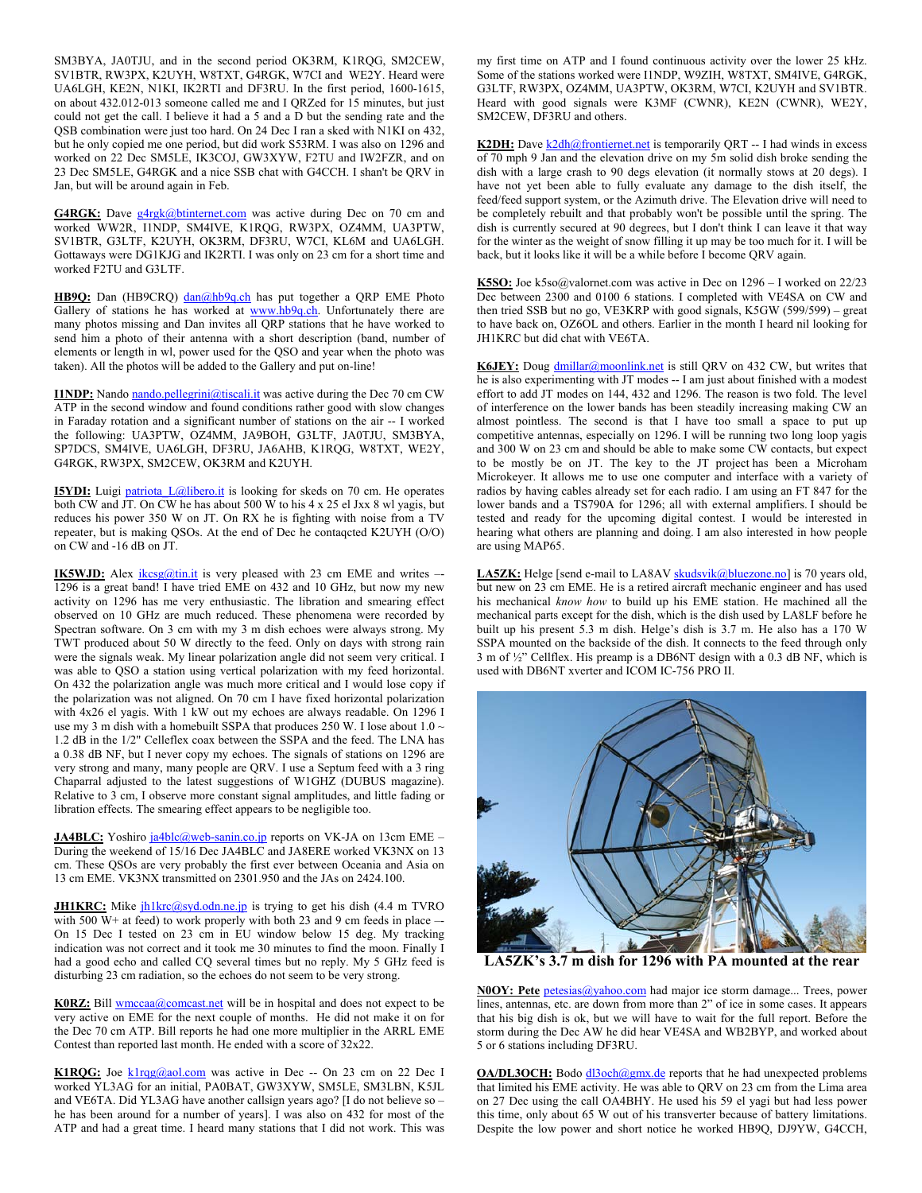SM3BYA, JA0TJU, and in the second period OK3RM, K1RQG, SM2CEW, SV1BTR, RW3PX, K2UYH, W8TXT, G4RGK, W7CI and WE2Y. Heard were UA6LGH, KE2N, N1KI, IK2RTI and DF3RU. In the first period, 1600-1615, on about 432.012-013 someone called me and I QRZed for 15 minutes, but just could not get the call. I believe it had a 5 and a D but the sending rate and the QSB combination were just too hard. On 24 Dec I ran a sked with N1KI on 432, but he only copied me one period, but did work S53RM. I was also on 1296 and worked on 22 Dec SM5LE, IK3COJ, GW3XYW, F2TU and IW2FZR, and on 23 Dec SM5LE, G4RGK and a nice SSB chat with G4CCH. I shan't be QRV in Jan, but will be around again in Feb.

G4RGK: Dave g4rgk@btinternet.com was active during Dec on 70 cm and worked WW2R, I1NDP, SM4IVE, K1RQG, RW3PX, OZ4MM, UA3PTW, SV1BTR, G3LTF, K2UYH, OK3RM, DF3RU, W7CI, KL6M and UA6LGH. Gottaways were DG1KJG and IK2RTI. I was only on 23 cm for a short time and worked F2TU and G3LTF.

HB9Q: Dan (HB9CRQ) dan@hb9q.ch has put together a QRP EME Photo Gallery of stations he has worked at www.hb9q.ch. Unfortunately there are many photos missing and Dan invites all QRP stations that he have worked to send him a photo of their antenna with a short description (band, number of elements or length in wl, power used for the QSO and year when the photo was taken). All the photos will be added to the Gallery and put on-line!

**I1NDP:** Nando nando.pellegrini@tiscali.it was active during the Dec 70 cm CW ATP in the second window and found conditions rather good with slow changes in Faraday rotation and a significant number of stations on the air -- I worked the following: UA3PTW, OZ4MM, JA9BOH, G3LTF, JA0TJU, SM3BYA, SP7DCS, SM4IVE, UA6LGH, DF3RU, JA6AHB, K1RQG, W8TXT, WE2Y, G4RGK, RW3PX, SM2CEW, OK3RM and K2UYH.

**I5YDI:** Luigi patriota L@libero.it is looking for skeds on 70 cm. He operates both CW and JT. On CW he has about 500 W to his 4 x 25 el Jxx 8 wl yagis, but reduces his power 350 W on JT. On RX he is fighting with noise from a TV repeater, but is making QSOs. At the end of Dec he contaqcted K2UYH (O/O) on CW and -16 dB on JT.

**IK5WJD:** Alex *ikcsg@tin.it* is very pleased with 23 cm EME and writes – 1296 is a great band! I have tried EME on 432 and 10 GHz, but now my new activity on 1296 has me very enthusiastic. The libration and smearing effect observed on 10 GHz are much reduced. These phenomena were recorded by Spectran software. On 3 cm with my 3 m dish echoes were always strong. My TWT produced about 50 W directly to the feed. Only on days with strong rain were the signals weak. My linear polarization angle did not seem very critical. I was able to QSO a station using vertical polarization with my feed horizontal. On 432 the polarization angle was much more critical and I would lose copy if the polarization was not aligned. On 70 cm I have fixed horizontal polarization with 4x26 el yagis. With 1 kW out my echoes are always readable. On 1296 I use my 3 m dish with a homebuilt SSPA that produces 250 W. I lose about  $1.0 \sim$ 1.2 dB in the 1/2" Celleflex coax between the SSPA and the feed. The LNA has a 0.38 dB NF, but I never copy my echoes. The signals of stations on 1296 are very strong and many, many people are QRV. I use a Septum feed with a 3 ring Chaparral adjusted to the latest suggestions of W1GHZ (DUBUS magazine). Relative to 3 cm, I observe more constant signal amplitudes, and little fading or libration effects. The smearing effect appears to be negligible too.

**JA4BLC:** Yoshiro ja4blc@web-sanin.co.jp reports on VK-JA on 13cm EME – During the weekend of 15/16 Dec JA4BLC and JA8ERE worked VK3NX on 13 cm. These QSOs are very probably the first ever between Oceania and Asia on 13 cm EME. VK3NX transmitted on 2301.950 and the JAs on 2424.100.

**JH1KRC:** Mike  $ih1krc@syd.odn.ne.jp$  is trying to get his dish  $(4.4 \text{ m} \text{ TVRO})$ with 500 W+ at feed) to work properly with both 23 and 9 cm feeds in place --On 15 Dec I tested on 23 cm in EU window below 15 deg. My tracking indication was not correct and it took me 30 minutes to find the moon. Finally I had a good echo and called CQ several times but no reply. My 5 GHz feed is disturbing 23 cm radiation, so the echoes do not seem to be very strong.

**K0RZ:** Bill **wmccaa@comcast.net** will be in hospital and does not expect to be very active on EME for the next couple of months. He did not make it on for the Dec 70 cm ATP. Bill reports he had one more multiplier in the ARRL EME Contest than reported last month. He ended with a score of 32x22.

**K1RQG:** Joe klrqg@aol.com was active in Dec -- On 23 cm on 22 Dec I worked YL3AG for an initial, PA0BAT, GW3XYW, SM5LE, SM3LBN, K5JL and VE6TA. Did YL3AG have another callsign years ago? [I do not believe so – he has been around for a number of years]. I was also on 432 for most of the ATP and had a great time. I heard many stations that I did not work. This was my first time on ATP and I found continuous activity over the lower 25 kHz. Some of the stations worked were I1NDP, W9ZIH, W8TXT, SM4IVE, G4RGK, G3LTF, RW3PX, OZ4MM, UA3PTW, OK3RM, W7CI, K2UYH and SV1BTR. Heard with good signals were K3MF (CWNR), KE2N (CWNR), WE2Y, SM2CEW, DF3RU and others.

K2DH: Dave k2dh@frontiernet.net is temporarily QRT -- I had winds in excess of 70 mph 9 Jan and the elevation drive on my 5m solid dish broke sending the dish with a large crash to 90 degs elevation (it normally stows at 20 degs). I have not yet been able to fully evaluate any damage to the dish itself, the feed/feed support system, or the Azimuth drive. The Elevation drive will need to be completely rebuilt and that probably won't be possible until the spring. The dish is currently secured at 90 degrees, but I don't think I can leave it that way for the winter as the weight of snow filling it up may be too much for it. I will be back, but it looks like it will be a while before I become QRV again.

**K5SO:** Joe k5so@valornet.com was active in Dec on 1296 – I worked on 22/23 Dec between 2300 and 0100 6 stations. I completed with VE4SA on CW and then tried SSB but no go, VE3KRP with good signals, K5GW (599/599) – great to have back on, OZ6OL and others. Earlier in the month I heard nil looking for JH1KRC but did chat with VE6TA.

K6JEY: Doug dmillar@moonlink.net is still QRV on 432 CW, but writes that he is also experimenting with JT modes -- I am just about finished with a modest effort to add JT modes on 144, 432 and 1296. The reason is two fold. The level of interference on the lower bands has been steadily increasing making CW an almost pointless. The second is that I have too small a space to put up competitive antennas, especially on 1296. I will be running two long loop yagis and 300 W on 23 cm and should be able to make some CW contacts, but expect to be mostly be on JT. The key to the JT project has been a Microham Microkeyer. It allows me to use one computer and interface with a variety of radios by having cables already set for each radio. I am using an FT 847 for the lower bands and a TS790A for 1296; all with external amplifiers. I should be tested and ready for the upcoming digital contest. I would be interested in hearing what others are planning and doing. I am also interested in how people are using MAP65.

LA5ZK: Helge [send e-mail to LA8AV skudsvik@bluezone.no] is 70 years old, but new on 23 cm EME. He is a retired aircraft mechanic engineer and has used his mechanical *know how* to build up his EME station. He machined all the mechanical parts except for the dish, which is the dish used by LA8LF before he built up his present 5.3 m dish. Helge's dish is 3.7 m. He also has a 170 W SSPA mounted on the backside of the dish. It connects to the feed through only 3 m of ½" Cellflex. His preamp is a DB6NT design with a 0.3 dB NF, which is used with DB6NT xverter and ICOM IC-756 PRO II.



**LA5ZK's 3.7 m dish for 1296 with PA mounted at the rear** 

**N0OY: Pete** petesias@yahoo.com had major ice storm damage... Trees, power lines, antennas, etc. are down from more than 2" of ice in some cases. It appears that his big dish is ok, but we will have to wait for the full report. Before the storm during the Dec AW he did hear VE4SA and WB2BYP, and worked about 5 or 6 stations including DF3RU.

**OA/DL3OCH:** Bodo dl3och@gmx.de reports that he had unexpected problems that limited his EME activity. He was able to QRV on 23 cm from the Lima area on 27 Dec using the call OA4BHY. He used his 59 el yagi but had less power this time, only about 65 W out of his transverter because of battery limitations. Despite the low power and short notice he worked HB9Q, DJ9YW, G4CCH,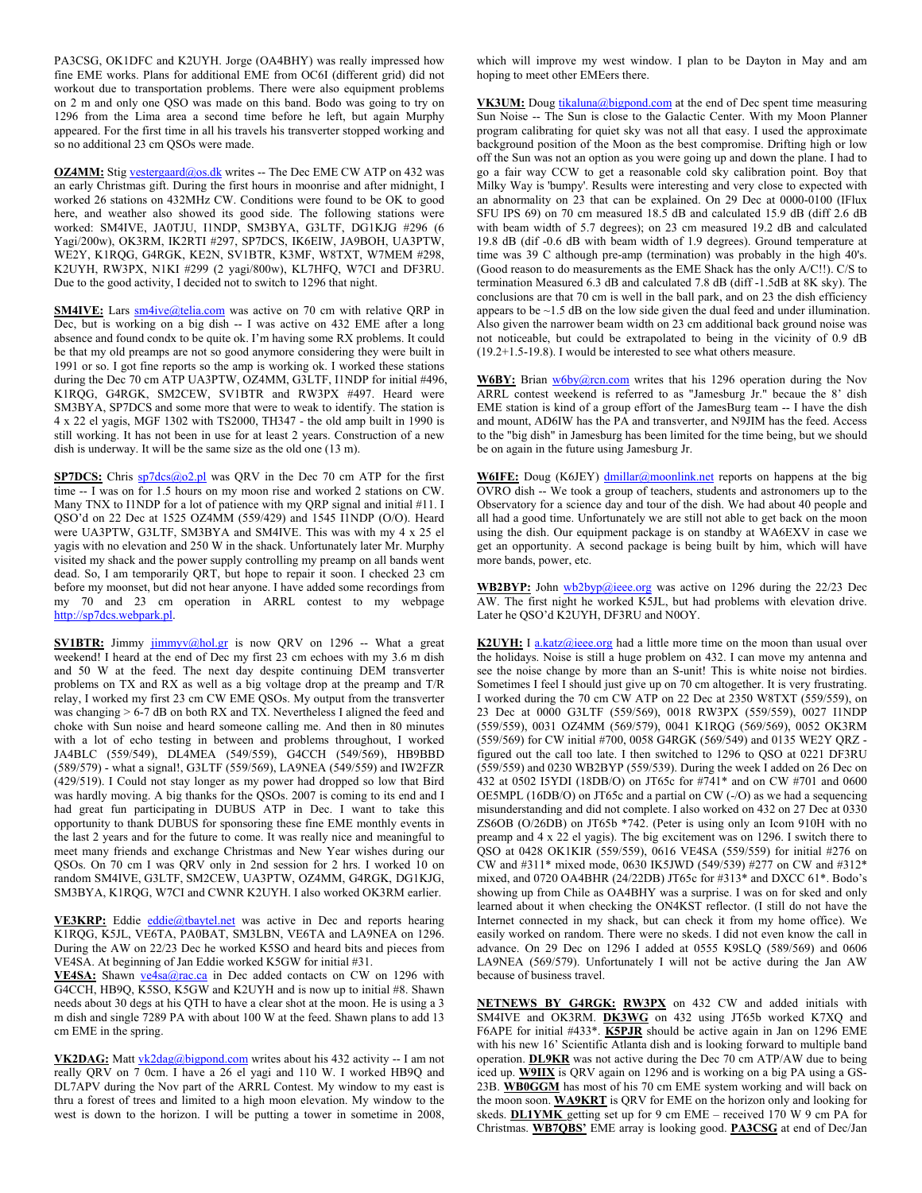PA3CSG, OK1DFC and K2UYH. Jorge (OA4BHY) was really impressed how fine EME works. Plans for additional EME from OC6I (different grid) did not workout due to transportation problems. There were also equipment problems on 2 m and only one QSO was made on this band. Bodo was going to try on 1296 from the Lima area a second time before he left, but again Murphy appeared. For the first time in all his travels his transverter stopped working and so no additional 23 cm QSOs were made.

**OZ4MM:** Stig vestergaard@os.dk writes -- The Dec EME CW ATP on 432 was an early Christmas gift. During the first hours in moonrise and after midnight, I worked 26 stations on 432MHz CW. Conditions were found to be OK to good here, and weather also showed its good side. The following stations were worked: SM4IVE, JA0TJU, I1NDP, SM3BYA, G3LTF, DG1KJG #296 (6 Yagi/200w), OK3RM, IK2RTI #297, SP7DCS, IK6EIW, JA9BOH, UA3PTW, WE2Y, K1RQG, G4RGK, KE2N, SV1BTR, K3MF, W8TXT, W7MEM #298, K2UYH, RW3PX, N1KI #299 (2 yagi/800w), KL7HFQ, W7CI and DF3RU. Due to the good activity, I decided not to switch to 1296 that night.

**SM4IVE:** Lars sm4ive@telia.com was active on 70 cm with relative ORP in Dec, but is working on a big dish -- I was active on 432 EME after a long absence and found condx to be quite ok. I'm having some RX problems. It could be that my old preamps are not so good anymore considering they were built in 1991 or so. I got fine reports so the amp is working ok. I worked these stations during the Dec 70 cm ATP UA3PTW, OZ4MM, G3LTF, I1NDP for initial #496, K1RQG, G4RGK, SM2CEW, SV1BTR and RW3PX #497. Heard were SM3BYA, SP7DCS and some more that were to weak to identify. The station is 4 x 22 el yagis, MGF 1302 with TS2000, TH347 - the old amp built in 1990 is still working. It has not been in use for at least 2 years. Construction of a new dish is underway. It will be the same size as the old one (13 m).

**SP7DCS:** Chris sp7dcs@o2.pl was QRV in the Dec 70 cm ATP for the first time -- I was on for 1.5 hours on my moon rise and worked 2 stations on CW. Many TNX to I1NDP for a lot of patience with my QRP signal and initial #11. I QSO'd on 22 Dec at 1525 OZ4MM (559/429) and 1545 I1NDP (O/O). Heard were UA3PTW, G3LTF, SM3BYA and SM4IVE. This was with my 4 x 25 el yagis with no elevation and 250 W in the shack. Unfortunately later Mr. Murphy visited my shack and the power supply controlling my preamp on all bands went dead. So, I am temporarily QRT, but hope to repair it soon. I checked 23 cm before my moonset, but did not hear anyone. I have added some recordings from my 70 and 23 cm operation in ARRL contest to my webpage http://sp7dcs.webpark.pl.

**SV1BTR:** Jimmy jimmyv@hol.gr is now QRV on 1296 -- What a great weekend! I heard at the end of Dec my first 23 cm echoes with my 3.6 m dish and 50 W at the feed. The next day despite continuing DEM transverter problems on TX and RX as well as a big voltage drop at the preamp and T/R relay, I worked my first 23 cm CW EME QSOs. My output from the transverter was changing > 6-7 dB on both RX and TX. Nevertheless I aligned the feed and choke with Sun noise and heard someone calling me. And then in 80 minutes with a lot of echo testing in between and problems throughout, I worked JA4BLC (559/549), DL4MEA (549/559), G4CCH (549/569), HB9BBD (589/579) - what a signal!, G3LTF (559/569), LA9NEA (549/559) and IW2FZR (429/519). I Could not stay longer as my power had dropped so low that Bird was hardly moving. A big thanks for the QSOs. 2007 is coming to its end and I had great fun participating in DUBUS ATP in Dec. I want to take this opportunity to thank DUBUS for sponsoring these fine EME monthly events in the last 2 years and for the future to come. It was really nice and meaningful to meet many friends and exchange Christmas and New Year wishes during our QSOs. On 70 cm I was QRV only in 2nd session for 2 hrs. I worked 10 on random SM4IVE, G3LTF, SM2CEW, UA3PTW, OZ4MM, G4RGK, DG1KJG, SM3BYA, K1RQG, W7CI and CWNR K2UYH. I also worked OK3RM earlier.

VE3KRP: Eddie eddie@tbaytel.net was active in Dec and reports hearing K1RQG, K5JL, VE6TA, PA0BAT, SM3LBN, VE6TA and LA9NEA on 1296. During the AW on 22/23 Dec he worked K5SO and heard bits and pieces from VE4SA. At beginning of Jan Eddie worked K5GW for initial #31.

VE4SA: Shawn ve4sa@rac.ca in Dec added contacts on CW on 1296 with G4CCH, HB9Q, K5SO, K5GW and K2UYH and is now up to initial #8. Shawn needs about 30 degs at his QTH to have a clear shot at the moon. He is using a 3 m dish and single 7289 PA with about 100 W at the feed. Shawn plans to add 13 cm EME in the spring.

**VK2DAG:** Matt vk2dag@bigpond.com writes about his 432 activity -- I am not really QRV on 7 0cm. I have a 26 el yagi and 110 W. I worked HB9Q and DL7APV during the Nov part of the ARRL Contest. My window to my east is thru a forest of trees and limited to a high moon elevation. My window to the west is down to the horizon. I will be putting a tower in sometime in 2008, which will improve my west window. I plan to be Dayton in May and am hoping to meet other EMEers there.

**VK3UM:** Doug tikaluna@bigpond.com at the end of Dec spent time measuring Sun Noise -- The Sun is close to the Galactic Center. With my Moon Planner program calibrating for quiet sky was not all that easy. I used the approximate background position of the Moon as the best compromise. Drifting high or low off the Sun was not an option as you were going up and down the plane. I had to go a fair way CCW to get a reasonable cold sky calibration point. Boy that Milky Way is 'bumpy'. Results were interesting and very close to expected with an abnormality on 23 that can be explained. On 29 Dec at 0000-0100 (IFlux SFU IPS 69) on 70 cm measured 18.5 dB and calculated 15.9 dB (diff 2.6 dB with beam width of 5.7 degrees); on 23 cm measured 19.2 dB and calculated 19.8 dB (dif -0.6 dB with beam width of 1.9 degrees). Ground temperature at time was 39 C although pre-amp (termination) was probably in the high 40's. (Good reason to do measurements as the EME Shack has the only A/C!!). C/S to termination Measured 6.3 dB and calculated 7.8 dB (diff -1.5dB at 8K sky). The conclusions are that 70 cm is well in the ball park, and on 23 the dish efficiency appears to be  $\sim$ 1.5 dB on the low side given the dual feed and under illumination. Also given the narrower beam width on 23 cm additional back ground noise was not noticeable, but could be extrapolated to being in the vicinity of 0.9 dB (19.2+1.5-19.8). I would be interested to see what others measure.

W6BY: Brian w6by@rcn.com writes that his 1296 operation during the Nov ARRL contest weekend is referred to as "Jamesburg Jr." becaue the 8' dish EME station is kind of a group effort of the JamesBurg team -- I have the dish and mount, AD6IW has the PA and transverter, and N9JIM has the feed. Access to the "big dish" in Jamesburg has been limited for the time being, but we should be on again in the future using Jamesburg Jr.

**W6IFE:** Doug (K6JEY) dmillar@moonlink.net reports on happens at the big OVRO dish -- We took a group of teachers, students and astronomers up to the Observatory for a science day and tour of the dish. We had about 40 people and all had a good time. Unfortunately we are still not able to get back on the moon using the dish. Our equipment package is on standby at WA6EXV in case we get an opportunity. A second package is being built by him, which will have more bands, power, etc.

**WB2BYP:** John wb2byp@ieee.org was active on 1296 during the 22/23 Dec AW. The first night he worked K5JL, but had problems with elevation drive. Later he QSO'd K2UYH, DF3RU and N0OY.

**K2UYH:** I a.katz@ieee.org had a little more time on the moon than usual over the holidays. Noise is still a huge problem on 432. I can move my antenna and see the noise change by more than an S-unit! This is white noise not birdies. Sometimes I feel I should just give up on 70 cm altogether. It is very frustrating. I worked during the 70 cm CW ATP on 22 Dec at 2350 W8TXT (559/559), on 23 Dec at 0000 G3LTF (559/569), 0018 RW3PX (559/559), 0027 I1NDP (559/559), 0031 OZ4MM (569/579), 0041 K1RQG (569/569), 0052 OK3RM (559/569) for CW initial #700, 0058 G4RGK (569/549) and 0135 WE2Y QRZ figured out the call too late. I then switched to 1296 to QSO at 0221 DF3RU (559/559) and 0230 WB2BYP (559/539). During the week I added on 26 Dec on 432 at 0502 I5YDI (18DB/O) on JT65c for #741\* and on CW #701 and 0600 OE5MPL (16DB/O) on JT65c and a partial on CW (-/O) as we had a sequencing misunderstanding and did not complete. I also worked on 432 on 27 Dec at 0330 ZS6OB (O/26DB) on JT65b \*742. (Peter is using only an Icom 910H with no preamp and 4 x 22 el yagis). The big excitement was on 1296. I switch there to QSO at 0428 OK1KIR (559/559), 0616 VE4SA (559/559) for initial #276 on CW and #311\* mixed mode, 0630 IK5JWD (549/539) #277 on CW and #312\* mixed, and 0720 OA4BHR (24/22DB) JT65c for #313\* and DXCC 61\*. Bodo's showing up from Chile as OA4BHY was a surprise. I was on for sked and only learned about it when checking the ON4KST reflector. (I still do not have the Internet connected in my shack, but can check it from my home office). We easily worked on random. There were no skeds. I did not even know the call in advance. On 29 Dec on 1296 I added at 0555 K9SLQ (589/569) and 0606 LA9NEA (569/579). Unfortunately I will not be active during the Jan AW because of business travel.

**NETNEWS BY G4RGK: RW3PX** on 432 CW and added initials with SM4IVE and OK3RM. **DK3WG** on 432 using JT65b worked K7XQ and F6APE for initial #433\*. **K5PJR** should be active again in Jan on 1296 EME with his new 16' Scientific Atlanta dish and is looking forward to multiple band operation. **DL9KR** was not active during the Dec 70 cm ATP/AW due to being iced up. **W9IIX** is QRV again on 1296 and is working on a big PA using a GS-23B. **WB0GGM** has most of his 70 cm EME system working and will back on the moon soon. **WA9KRT** is QRV for EME on the horizon only and looking for skeds. **DL1YMK** getting set up for 9 cm EME – received 170 W 9 cm PA for Christmas. **WB7QBS'** EME array is looking good. **PA3CSG** at end of Dec/Jan